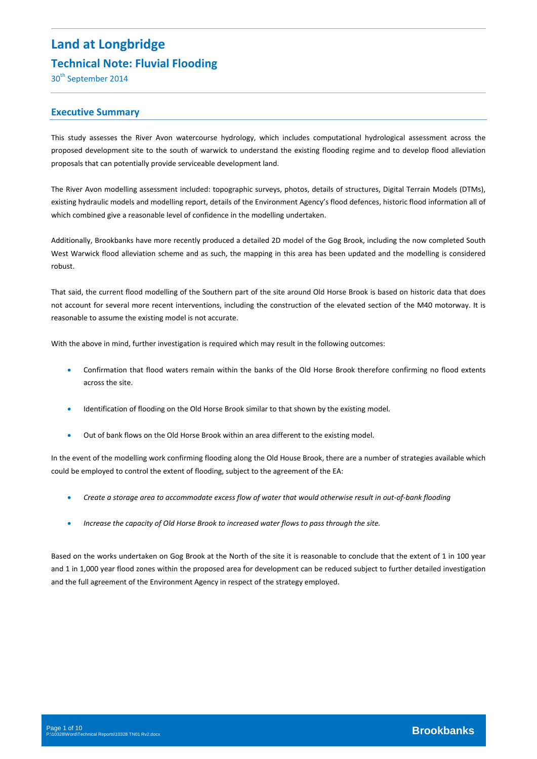# **Land at Longbridge Technical Note: Fluvial Flooding**

30<sup>th</sup> September 2014

## **Executive Summary**

This study assesses the River Avon watercourse hydrology, which includes computational hydrological assessment across the proposed development site to the south of warwick to understand the existing flooding regime and to develop flood alleviation proposals that can potentially provide serviceable development land.

The River Avon modelling assessment included: topographic surveys, photos, details of structures, Digital Terrain Models (DTMs), existing hydraulic models and modelling report, details of the Environment Agency's flood defences, historic flood information all of which combined give a reasonable level of confidence in the modelling undertaken.

Additionally, Brookbanks have more recently produced a detailed 2D model of the Gog Brook, including the now completed South West Warwick flood alleviation scheme and as such, the mapping in this area has been updated and the modelling is considered robust.

That said, the current flood modelling of the Southern part of the site around Old Horse Brook is based on historic data that does not account for several more recent interventions, including the construction of the elevated section of the M40 motorway. It is reasonable to assume the existing model is not accurate.

With the above in mind, further investigation is required which may result in the following outcomes:

- Confirmation that flood waters remain within the banks of the Old Horse Brook therefore confirming no flood extents across the site.
- Identification of flooding on the Old Horse Brook similar to that shown by the existing model.
- Out of bank flows on the Old Horse Brook within an area different to the existing model.

In the event of the modelling work confirming flooding along the Old House Brook, there are a number of strategies available which could be employed to control the extent of flooding, subject to the agreement of the EA:

- Create a storage area to accommodate excess flow of water that would otherwise result in out-of-bank flooding
- *Increase the capacity of Old Horse Brook to increased water flows to pass through the site.*

Based on the works undertaken on Gog Brook at the North of the site it is reasonable to conclude that the extent of 1 in 100 year and 1 in 1,000 year flood zones within the proposed area for development can be reduced subject to further detailed investigation and the full agreement of the Environment Agency in respect of the strategy employed.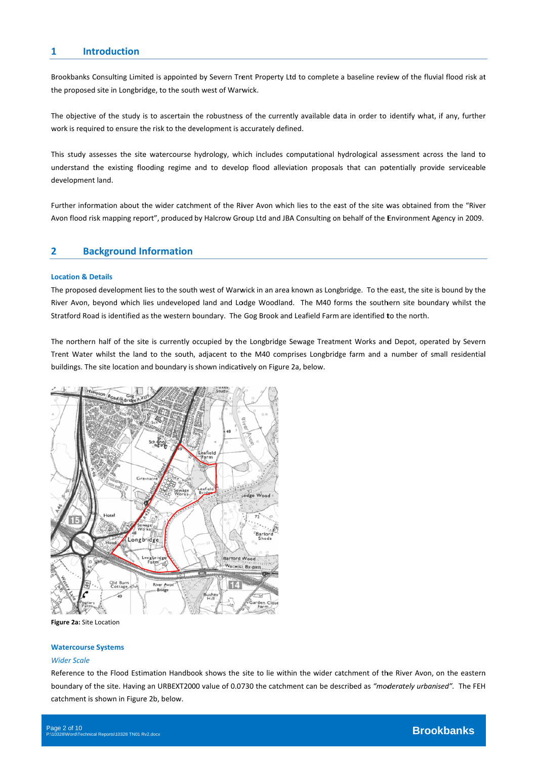# **1 Intr roduction**

Brookbanks Consulting Limited is appointed by Severn Trent Property Ltd to complete a baseline review of the fluvial flood risk at the proposed site in Longbridge, to the south west of Warwick.

The objective of the study is to ascertain the robustness of the currently available data in order to identify what, if any, further work is required to ensure the risk to the development is accurately defined.

This study assesses the site watercourse hydrology, which includes computational hydrological assessment across the land to understand the existing flooding regime and to develop flood alleviation proposals that can potentially provide serviceable development land. troereenlnH

Further information about the wider catchment of the River Avon which lies to the east of the site was obtained from the "River Avon flood risk mapping report", produced by Halcrow Group Ltd and JBA Consulting on behalf of the Environment Agency in 2009.

# **2 Background Information**

#### **Location & Details**

The proposed development lies to the south west of Warwick in an area known as Longbridge. To the east, the site is bound by the River Avon, beyond which lies undeveloped land and Lodge Woodland. The M40 forms the southern site boundary whilst the Stratford Road is identified as the western boundary. The Gog Brook and Leafield Farm are identified to the north.

The northern half of the site is currently occupied by the Longbridge Sewage Treatment Works and Depot, operated by Severn Trent Water whilst the land to the south, adjacent to the M40 comprises Longbridge farm and a number of small residential buildings. The site location and boundary is shown indicatively on Figure 2a, below.



**Figure 2a:** Site L Location

#### **Watercourse S Systems**

#### *Wider Scale*

Reference to the Flood Estimation Handbook shows the site to lie within the wider catchment of the River Avon, on the eastern boundary of the site. Having an URBEXT2000 value of 0.0730 the catchment can be described as "moderately urbanised". The FEH catchment is shown in Figure 2b, below.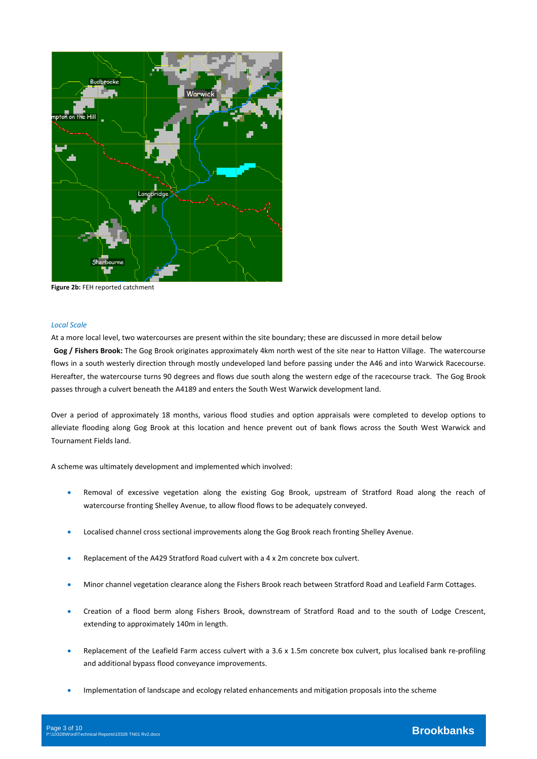

**Figure 2b:** FEH reported catchment

### *Local Scale*

At a more local level, two watercourses are present within the site boundary; these are discussed in more detail below **Gog / Fishers Brook:** The Gog Brook originates approximately 4km north west of the site near to Hatton Village. The watercourse flows in a south westerly direction through mostly undeveloped land before passing under the A46 and into Warwick Racecourse. Hereafter, the watercourse turns 90 degrees and flows due south along the western edge of the racecourse track. The Gog Brook passes through a culvert beneath the A4189 and enters the South West Warwick development land.

Over a period of approximately 18 months, various flood studies and option appraisals were completed to develop options to alleviate flooding along Gog Brook at this location and hence prevent out of bank flows across the South West Warwick and Tournament Fields land.

A scheme was ultimately development and implemented which involved:

- Removal of excessive vegetation along the existing Gog Brook, upstream of Stratford Road along the reach of watercourse fronting Shelley Avenue, to allow flood flows to be adequately conveyed.
- Localised channel cross sectional improvements along the Gog Brook reach fronting Shelley Avenue.
- Replacement of the A429 Stratford Road culvert with a 4 x 2m concrete box culvert.
- Minor channel vegetation clearance along the Fishers Brook reach between Stratford Road and Leafield Farm Cottages.
- Creation of a flood berm along Fishers Brook, downstream of Stratford Road and to the south of Lodge Crescent, extending to approximately 140m in length.
- Replacement of the Leafield Farm access culvert with a 3.6 x 1.5m concrete box culvert, plus localised bank re-profiling and additional bypass flood conveyance improvements.
- Implementation of landscape and ecology related enhancements and mitigation proposals into the scheme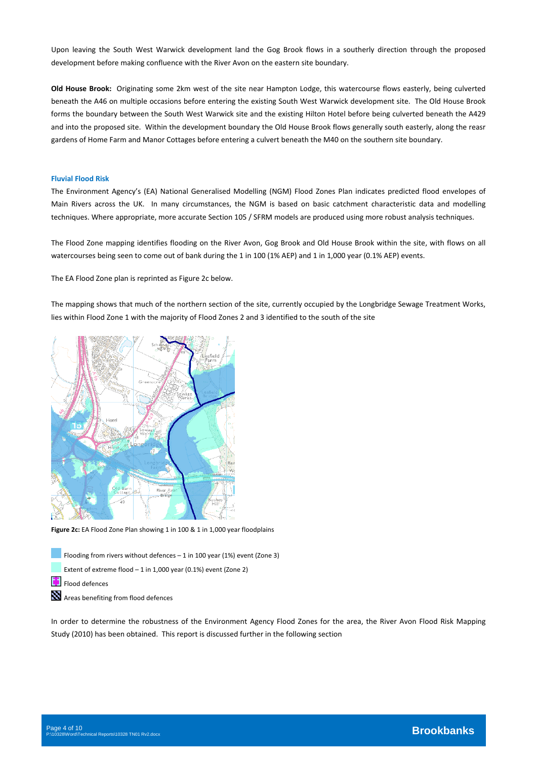Upon leaving the South West Warwick development land the Gog Brook flows in a southerly direction through the proposed development before making confluence with the River Avon on the eastern site boundary.

**Old House Brook:** Originating some 2km west of the site near Hampton Lodge, this watercourse flows easterly, being culverted beneath the A46 on multiple occasions before entering the existing South West Warwick development site. The Old House Brook forms the boundary between the South West Warwick site and the existing Hilton Hotel before being culverted beneath the A429 and into the proposed site. Within the development boundary the Old House Brook flows generally south easterly, along the reasr gardens of Home Farm and Manor Cottages before entering a culvert beneath the M40 on the southern site boundary.

#### **Fluvial Flood Risk**

The Environment Agency's (EA) National Generalised Modelling (NGM) Flood Zones Plan indicates predicted flood envelopes of Main Rivers across the UK. In many circumstances, the NGM is based on basic catchment characteristic data and modelling techniques. Where appropriate, more accurate Section 105 / SFRM models are produced using more robust analysis techniques.

The Flood Zone mapping identifies flooding on the River Avon, Gog Brook and Old House Brook within the site, with flows on all watercourses being seen to come out of bank during the 1 in 100 (1% AEP) and 1 in 1,000 year (0.1% AEP) events.

The EA Flood Zone plan is reprinted as Figure 2c below.

The mapping shows that much of the northern section of the site, currently occupied by the Longbridge Sewage Treatment Works, lies within Flood Zone 1 with the majority of Flood Zones 2 and 3 identified to the south of the site



**Figure 2c:** EA Flood Zone Plan showing 1 in 100 & 1 in 1,000 year floodplains

Flooding from rivers without defences – 1 in 100 year (1%) event (Zone 3)

Extent of extreme flood – 1 in 1,000 year (0.1%) event (Zone 2)

Flood defences

Areas benefiting from flood defences

In order to determine the robustness of the Environment Agency Flood Zones for the area, the River Avon Flood Risk Mapping Study (2010) has been obtained. This report is discussed further in the following section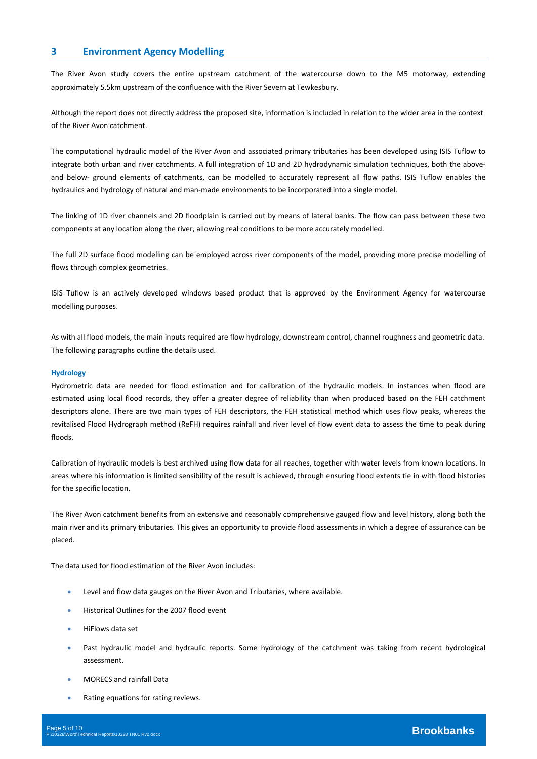## **3 Environment Agency Modelling**

The River Avon study covers the entire upstream catchment of the watercourse down to the M5 motorway, extending approximately 5.5km upstream of the confluence with the River Severn at Tewkesbury.

Although the report does not directly address the proposed site, information is included in relation to the wider area in the context of the River Avon catchment.

The computational hydraulic model of the River Avon and associated primary tributaries has been developed using ISIS Tuflow to integrate both urban and river catchments. A full integration of 1D and 2D hydrodynamic simulation techniques, both the aboveand below- ground elements of catchments, can be modelled to accurately represent all flow paths. ISIS Tuflow enables the hydraulics and hydrology of natural and man‐made environments to be incorporated into a single model.

The linking of 1D river channels and 2D floodplain is carried out by means of lateral banks. The flow can pass between these two components at any location along the river, allowing real conditions to be more accurately modelled.

The full 2D surface flood modelling can be employed across river components of the model, providing more precise modelling of flows through complex geometries.

ISIS Tuflow is an actively developed windows based product that is approved by the Environment Agency for watercourse modelling purposes.

As with all flood models, the main inputs required are flow hydrology, downstream control, channel roughness and geometric data. The following paragraphs outline the details used.

#### **Hydrology**

Hydrometric data are needed for flood estimation and for calibration of the hydraulic models. In instances when flood are estimated using local flood records, they offer a greater degree of reliability than when produced based on the FEH catchment descriptors alone. There are two main types of FEH descriptors, the FEH statistical method which uses flow peaks, whereas the revitalised Flood Hydrograph method (ReFH) requires rainfall and river level of flow event data to assess the time to peak during floods.

Calibration of hydraulic models is best archived using flow data for all reaches, together with water levels from known locations. In areas where his information is limited sensibility of the result is achieved, through ensuring flood extents tie in with flood histories for the specific location.

The River Avon catchment benefits from an extensive and reasonably comprehensive gauged flow and level history, along both the main river and its primary tributaries. This gives an opportunity to provide flood assessments in which a degree of assurance can be placed.

The data used for flood estimation of the River Avon includes:

- Level and flow data gauges on the River Avon and Tributaries, where available.
- Historical Outlines for the 2007 flood event
- HiFlows data set
- Past hydraulic model and hydraulic reports. Some hydrology of the catchment was taking from recent hydrological assessment.
- MORECS and rainfall Data
- Rating equations for rating reviews.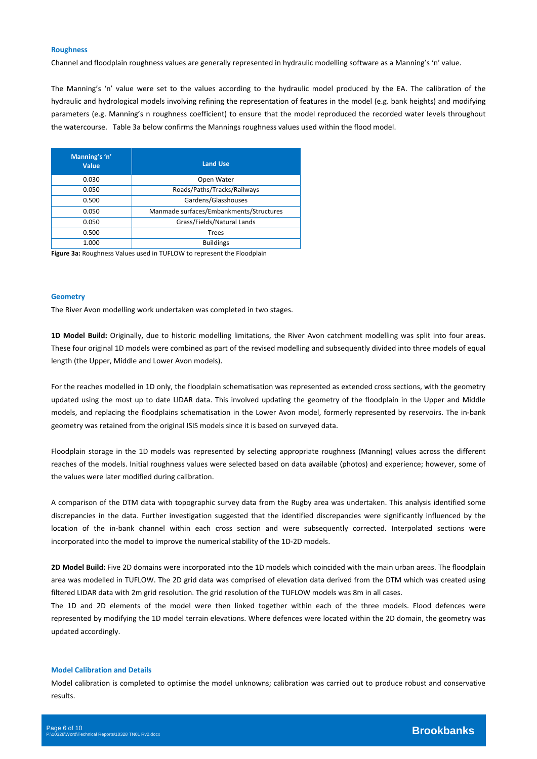#### **Roughness**

Channel and floodplain roughness values are generally represented in hydraulic modelling software as a Manning's 'n' value.

The Manning's 'n' value were set to the values according to the hydraulic model produced by the EA. The calibration of the hydraulic and hydrological models involving refining the representation of features in the model (e.g. bank heights) and modifying parameters (e.g. Manning's n roughness coefficient) to ensure that the model reproduced the recorded water levels throughout the watercourse. Table 3a below confirms the Mannings roughness values used within the flood model.

| Manning's 'n'<br><b>Value</b> | <b>Land Use</b>                         |
|-------------------------------|-----------------------------------------|
| 0.030                         | Open Water                              |
| 0.050                         | Roads/Paths/Tracks/Railways             |
| 0.500                         | Gardens/Glasshouses                     |
| 0.050                         | Manmade surfaces/Embankments/Structures |
| 0.050                         | Grass/Fields/Natural Lands              |
| 0.500                         | <b>Trees</b>                            |
| 1.000                         | <b>Buildings</b>                        |

**Figure 3a:** Roughness Values used in TUFLOW to represent the Floodplain

#### **Geometry**

The River Avon modelling work undertaken was completed in two stages.

**1D Model Build:** Originally, due to historic modelling limitations, the River Avon catchment modelling was split into four areas. These four original 1D models were combined as part of the revised modelling and subsequently divided into three models of equal length (the Upper, Middle and Lower Avon models).

For the reaches modelled in 1D only, the floodplain schematisation was represented as extended cross sections, with the geometry updated using the most up to date LIDAR data. This involved updating the geometry of the floodplain in the Upper and Middle models, and replacing the floodplains schematisation in the Lower Avon model, formerly represented by reservoirs. The in‐bank geometry was retained from the original ISIS models since it is based on surveyed data.

Floodplain storage in the 1D models was represented by selecting appropriate roughness (Manning) values across the different reaches of the models. Initial roughness values were selected based on data available (photos) and experience; however, some of the values were later modified during calibration.

A comparison of the DTM data with topographic survey data from the Rugby area was undertaken. This analysis identified some discrepancies in the data. Further investigation suggested that the identified discrepancies were significantly influenced by the location of the in-bank channel within each cross section and were subsequently corrected. Interpolated sections were incorporated into the model to improve the numerical stability of the 1D‐2D models.

**2D Model Build:** Five 2D domains were incorporated into the 1D models which coincided with the main urban areas. The floodplain area was modelled in TUFLOW. The 2D grid data was comprised of elevation data derived from the DTM which was created using filtered LIDAR data with 2m grid resolution. The grid resolution of the TUFLOW models was 8m in all cases.

The 1D and 2D elements of the model were then linked together within each of the three models. Flood defences were represented by modifying the 1D model terrain elevations. Where defences were located within the 2D domain, the geometry was updated accordingly.

#### **Model Calibration and Details**

Model calibration is completed to optimise the model unknowns; calibration was carried out to produce robust and conservative results.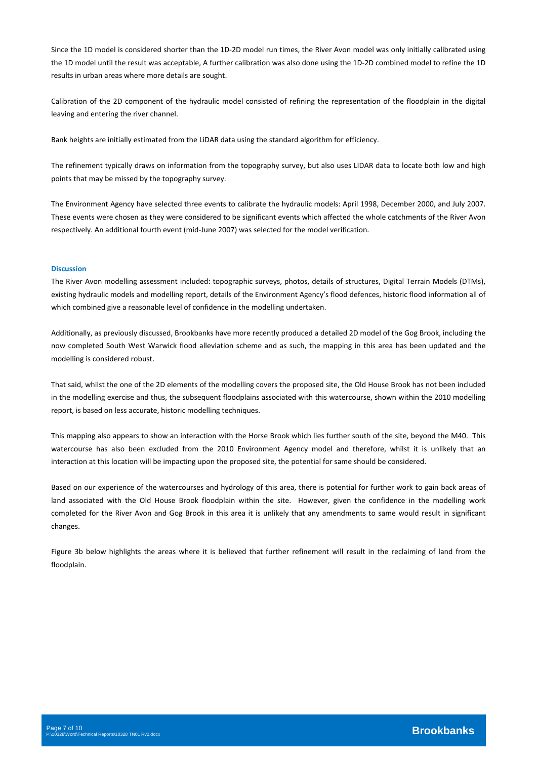Since the 1D model is considered shorter than the 1D‐2D model run times, the River Avon model was only initially calibrated using the 1D model until the result was acceptable, A further calibration was also done using the 1D‐2D combined model to refine the 1D results in urban areas where more details are sought.

Calibration of the 2D component of the hydraulic model consisted of refining the representation of the floodplain in the digital leaving and entering the river channel.

Bank heights are initially estimated from the LiDAR data using the standard algorithm for efficiency.

The refinement typically draws on information from the topography survey, but also uses LIDAR data to locate both low and high points that may be missed by the topography survey.

The Environment Agency have selected three events to calibrate the hydraulic models: April 1998, December 2000, and July 2007. These events were chosen as they were considered to be significant events which affected the whole catchments of the River Avon respectively. An additional fourth event (mid‐June 2007) was selected for the model verification.

#### **Discussion**

The River Avon modelling assessment included: topographic surveys, photos, details of structures, Digital Terrain Models (DTMs), existing hydraulic models and modelling report, details of the Environment Agency's flood defences, historic flood information all of which combined give a reasonable level of confidence in the modelling undertaken.

Additionally, as previously discussed, Brookbanks have more recently produced a detailed 2D model of the Gog Brook, including the now completed South West Warwick flood alleviation scheme and as such, the mapping in this area has been updated and the modelling is considered robust.

That said, whilst the one of the 2D elements of the modelling covers the proposed site, the Old House Brook has not been included in the modelling exercise and thus, the subsequent floodplains associated with this watercourse, shown within the 2010 modelling report, is based on less accurate, historic modelling techniques.

This mapping also appears to show an interaction with the Horse Brook which lies further south of the site, beyond the M40. This watercourse has also been excluded from the 2010 Environment Agency model and therefore, whilst it is unlikely that an interaction at this location will be impacting upon the proposed site, the potential for same should be considered.

Based on our experience of the watercourses and hydrology of this area, there is potential for further work to gain back areas of land associated with the Old House Brook floodplain within the site. However, given the confidence in the modelling work completed for the River Avon and Gog Brook in this area it is unlikely that any amendments to same would result in significant changes.

Figure 3b below highlights the areas where it is believed that further refinement will result in the reclaiming of land from the floodplain.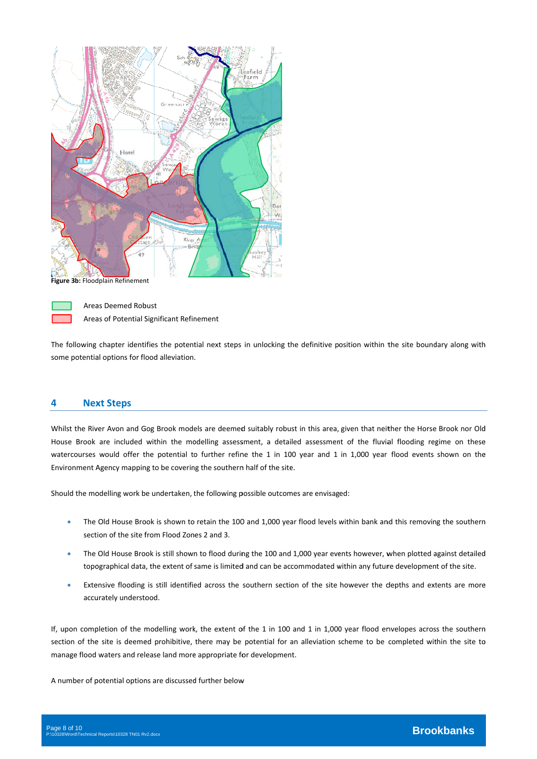

Figure 3b: Floodplain Refinement



Area as Deemed Rob bust Areas of Potential Significant Refinement

The following chapter identifies the potential next steps in unlocking the definitive position within the site boundary along with some potential options for flood alleviation.

# **4 Nex xt Steps**

Whilst the River Avon and Gog Brook models are deemed suitably robust in this area, given that neither the Horse Brook nor Old House Brook are included within the modelling assessment, a detailed assessment of the fluvial flooding regime on these watercourses would offer the potential to further refine the 1 in 100 year and 1 in 1,000 year flood events shown on the Environment Agency mapping to be covering the southern half of the site. s in unlocking the definitive p<br>ed suitably robust in this area,<br>ssment, a detailed assessmer<br>ine the 1 in 100 year and 1<br>in half of the site.<br>possible outcomes are envisag<br>00 and 1,000 year flood levels<br>ing the 100 and 1, h<br>Ideen<br>Theenden

Should the modelling work be undertaken, the following possible outcomes are envisaged:

- . The Old House Brook is shown to retain the 100 and 1,000 year flood levels within bank and this removing the southern section of the site from Flood Zones 2 and 3.
- . The Old House Brook is still shown to flood during the 100 and 1,000 year events however, when plotted against detailed topographical data, the extent of same is limited and can be accommodated within any future development of the site.
- Extensive flooding is still identified across the southern section of the site however the depths and extents are more accurately understood.

If, upon completion of the modelling work, the extent of the 1 in 100 and 1 in 1,000 year flood envelopes across the southern section of the site is deemed prohibitive, there may be potential for an alleviation scheme to be completed within the site to manage flood waters and release land more appropriate for development.

A number of potential options are discussed further below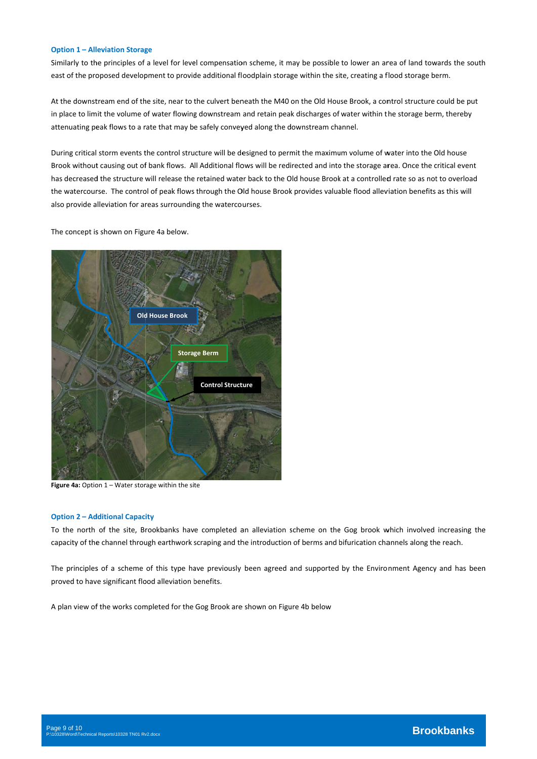#### **Option 1 – All eviation Storag ge**

Similarly to the principles of a level for level compensation scheme, it may be possible to lower an area of land towards the south east of the proposed development to provide additional floodplain storage within the site, creating a flood storage berm. .h<br>e

At the downstream end of the site, near to the culvert beneath the M40 on the Old House Brook, a control structure could be put in place to limit the volume of water flowing downstream and retain peak discharges of water within the storage berm, thereby attenuating peak flows to a rate that may be safely conveyed along the downstream channel.

During critical storm events the control structure will be designed to permit the maximum volume of water into the Old house Brook without causing out of bank flows. All Additional flows will be redirected and into the storage area. Once the critical event has decreased the structure will release the retained water back to the Old house Brook at a controlled rate so as not to overload the watercourse. The control of peak flows through the Old house Brook provides valuable flood alleviation benefits as this will also provide alleviation for areas surrounding the watercourses.

The concept is shown on Figure 4a below.



Figure 4a: Option 1 - Water storage within the site

#### **Option 2 – Additional Capacity**

To the north of the site, Brookbanks have completed an alleviation scheme on the Gog brook which involved increasing the capacity of the channel through earthwork scraping and the introduction of berms and bifurication channels along the reach.

The principles of a scheme of this type have previously been agreed and supported by the Environment Agency and has been proved to have significant flood alleviation benefits.

A plan view of the works completed for the Gog Brook are shown on Figure 4b below